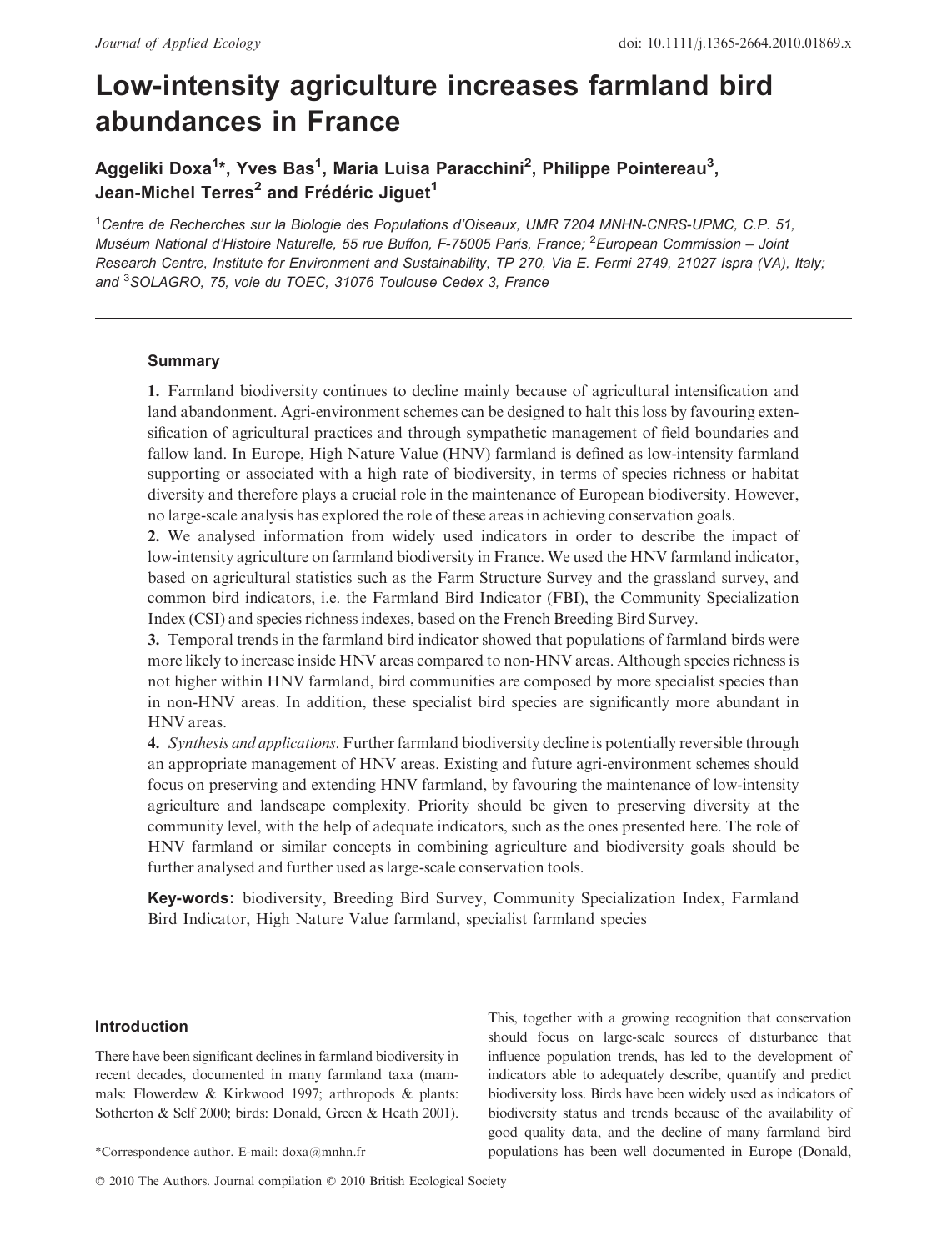# Low-intensity agriculture increases farmland bird abundances in France

Aggeliki Doxa<sup>1</sup>\*, Yves Bas<sup>1</sup>, Maria Luisa Paracchini<sup>2</sup>, Philippe Pointereau<sup>3</sup>, Jean-Michel Terres<sup>2</sup> and Frédéric Jiguet<sup>1</sup>

<sup>1</sup>Centre de Recherches sur la Biologie des Populations d'Oiseaux, UMR 7204 MNHN-CNRS-UPMC, C.P. 51, Muséum National d'Histoire Naturelle, 55 rue Buffon, F-75005 Paris, France; <sup>2</sup> European Commission – Joint Research Centre, Institute for Environment and Sustainability, TP 270, Via E. Fermi 2749, 21027 Ispra (VA), Italy; and <sup>3</sup>SOLAGRO, 75, voie du TOEC, 31076 Toulouse Cedex 3, France

# Summary

1. Farmland biodiversity continues to decline mainly because of agricultural intensification and land abandonment. Agri-environment schemes can be designed to halt this loss by favouring extensification of agricultural practices and through sympathetic management of field boundaries and fallow land. In Europe, High Nature Value (HNV) farmland is defined as low-intensity farmland supporting or associated with a high rate of biodiversity, in terms of species richness or habitat diversity and therefore plays a crucial role in the maintenance of European biodiversity. However, no large-scale analysis has explored the role of these areas in achieving conservation goals.

2. We analysed information from widely used indicators in order to describe the impact of low-intensity agriculture on farmland biodiversity in France. We used the HNV farmland indicator, based on agricultural statistics such as the Farm Structure Survey and the grassland survey, and common bird indicators, i.e. the Farmland Bird Indicator (FBI), the Community Specialization Index (CSI) and species richness indexes, based on the French Breeding Bird Survey.

3. Temporal trends in the farmland bird indicator showed that populations of farmland birds were more likely to increase inside HNV areas compared to non-HNV areas. Although species richness is not higher within HNV farmland, bird communities are composed by more specialist species than in non-HNV areas. In addition, these specialist bird species are significantly more abundant in HNV areas.

4. Synthesis and applications. Further farmland biodiversity decline is potentially reversible through an appropriate management of HNV areas. Existing and future agri-environment schemes should focus on preserving and extending HNV farmland, by favouring the maintenance of low-intensity agriculture and landscape complexity. Priority should be given to preserving diversity at the community level, with the help of adequate indicators, such as the ones presented here. The role of HNV farmland or similar concepts in combining agriculture and biodiversity goals should be further analysed and further used as large-scale conservation tools.

Key-words: biodiversity, Breeding Bird Survey, Community Specialization Index, Farmland Bird Indicator, High Nature Value farmland, specialist farmland species

# Introduction

There have been significant declines in farmland biodiversity in recent decades, documented in many farmland taxa (mammals: Flowerdew & Kirkwood 1997; arthropods & plants: Sotherton & Self 2000; birds: Donald, Green & Heath 2001).

© 2010 The Authors. Journal compilation © 2010 British Ecological Society

This, together with a growing recognition that conservation should focus on large-scale sources of disturbance that influence population trends, has led to the development of indicators able to adequately describe, quantify and predict biodiversity loss. Birds have been widely used as indicators of biodiversity status and trends because of the availability of good quality data, and the decline of many farmland bird \*Correspondence author. E-mail: doxa@mnhn.fr populations has been well documented in Europe (Donald,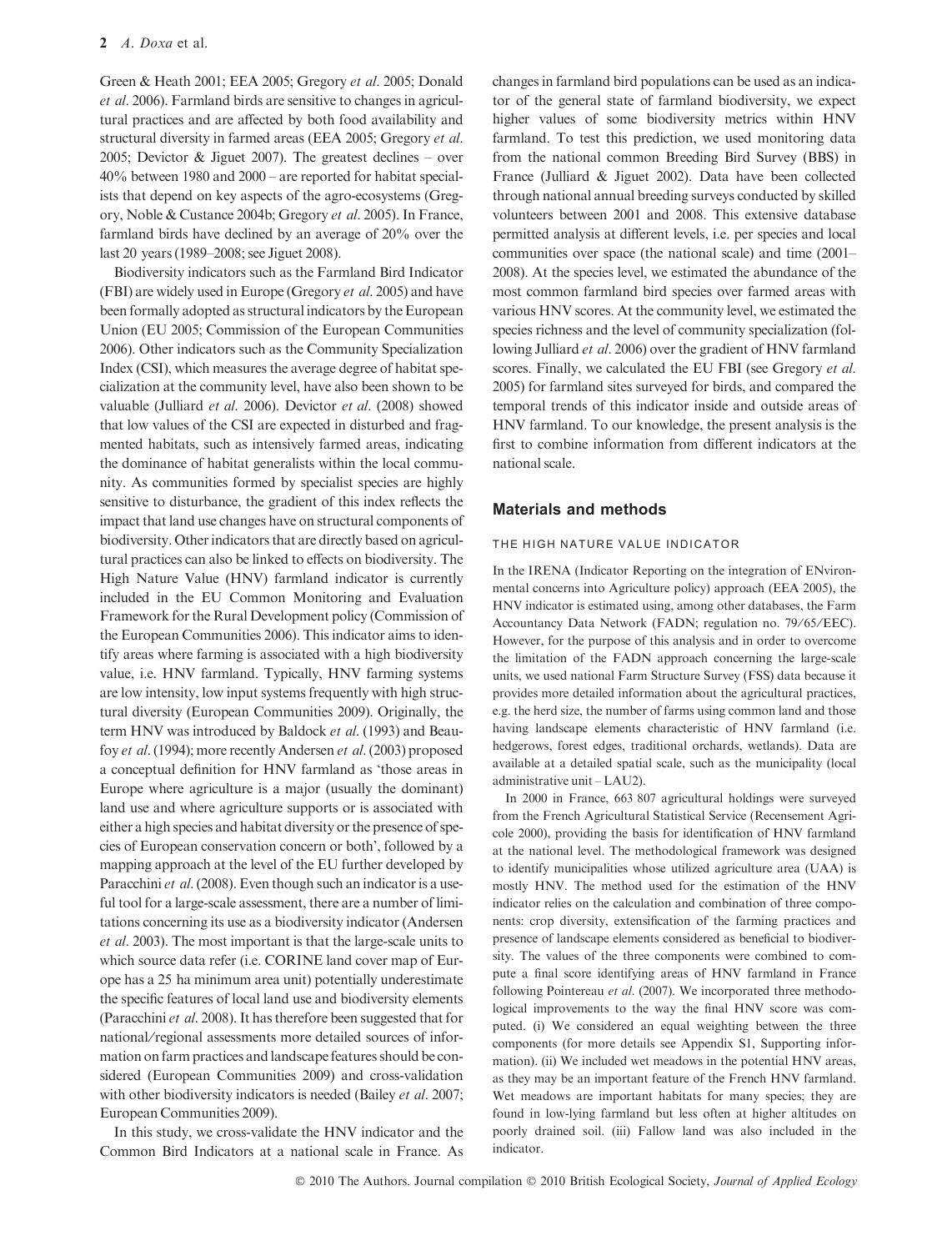Green & Heath 2001; EEA 2005; Gregory et al. 2005; Donald et al. 2006). Farmland birds are sensitive to changes in agricultural practices and are affected by both food availability and structural diversity in farmed areas (EEA 2005; Gregory et al. 2005; Devictor & Jiguet 2007). The greatest declines – over 40% between 1980 and 2000 – are reported for habitat specialists that depend on key aspects of the agro-ecosystems (Gregory, Noble & Custance 2004b; Gregory et al. 2005). In France, farmland birds have declined by an average of 20% over the last 20 years (1989–2008; see Jiguet 2008).

Biodiversity indicators such as the Farmland Bird Indicator (FBI) are widely used in Europe (Gregory et al. 2005) and have been formally adopted as structural indicators by the European Union (EU 2005; Commission of the European Communities 2006). Other indicators such as the Community Specialization Index (CSI), which measures the average degree of habitat specialization at the community level, have also been shown to be valuable (Julliard et al. 2006). Devictor et al. (2008) showed that low values of the CSI are expected in disturbed and fragmented habitats, such as intensively farmed areas, indicating the dominance of habitat generalists within the local community. As communities formed by specialist species are highly sensitive to disturbance, the gradient of this index reflects the impact that land use changes have on structural components of biodiversity. Other indicators that are directly based on agricultural practices can also be linked to effects on biodiversity. The High Nature Value (HNV) farmland indicator is currently included in the EU Common Monitoring and Evaluation Framework for the Rural Development policy (Commission of the European Communities 2006). This indicator aims to identify areas where farming is associated with a high biodiversity value, i.e. HNV farmland. Typically, HNV farming systems are low intensity, low input systems frequently with high structural diversity (European Communities 2009). Originally, the term HNV was introduced by Baldock et al. (1993) and Beaufoy et al. (1994); more recently Andersen et al. (2003) proposed a conceptual definition for HNV farmland as 'those areas in Europe where agriculture is a major (usually the dominant) land use and where agriculture supports or is associated with either a high species and habitat diversity or the presence of species of European conservation concern or both', followed by a mapping approach at the level of the EU further developed by Paracchini et al. (2008). Even though such an indicator is a useful tool for a large-scale assessment, there are a number of limitations concerning its use as a biodiversity indicator (Andersen et al. 2003). The most important is that the large-scale units to which source data refer (i.e. CORINE land cover map of Europe has a 25 ha minimum area unit) potentially underestimate the specific features of local land use and biodiversity elements (Paracchini et al. 2008). It has therefore been suggested that for national/regional assessments more detailed sources of information on farm practices and landscape features should be considered (European Communities 2009) and cross-validation with other biodiversity indicators is needed (Bailey et al. 2007; European Communities 2009).

In this study, we cross-validate the HNV indicator and the Common Bird Indicators at a national scale in France. As changes in farmland bird populations can be used as an indicator of the general state of farmland biodiversity, we expect higher values of some biodiversity metrics within HNV farmland. To test this prediction, we used monitoring data from the national common Breeding Bird Survey (BBS) in France (Julliard & Jiguet 2002). Data have been collected through national annual breeding surveys conducted by skilled volunteers between 2001 and 2008. This extensive database permitted analysis at different levels, i.e. per species and local communities over space (the national scale) and time (2001– 2008). At the species level, we estimated the abundance of the most common farmland bird species over farmed areas with various HNV scores. At the community level, we estimated the species richness and the level of community specialization (following Julliard et al. 2006) over the gradient of HNV farmland scores. Finally, we calculated the EU FBI (see Gregory et al. 2005) for farmland sites surveyed for birds, and compared the temporal trends of this indicator inside and outside areas of HNV farmland. To our knowledge, the present analysis is the first to combine information from different indicators at the national scale.

## Materials and methods

### THE HIGH NATURE VALUE INDICATOR

In the IRENA (Indicator Reporting on the integration of ENvironmental concerns into Agriculture policy) approach (EEA 2005), the HNV indicator is estimated using, among other databases, the Farm Accountancy Data Network (FADN; regulation no. 79/65/EEC). However, for the purpose of this analysis and in order to overcome the limitation of the FADN approach concerning the large-scale units, we used national Farm Structure Survey (FSS) data because it provides more detailed information about the agricultural practices, e.g. the herd size, the number of farms using common land and those having landscape elements characteristic of HNV farmland (i.e. hedgerows, forest edges, traditional orchards, wetlands). Data are available at a detailed spatial scale, such as the municipality (local administrative unit – LAU2).

In 2000 in France, 663 807 agricultural holdings were surveyed from the French Agricultural Statistical Service (Recensement Agricole 2000), providing the basis for identification of HNV farmland at the national level. The methodological framework was designed to identify municipalities whose utilized agriculture area (UAA) is mostly HNV. The method used for the estimation of the HNV indicator relies on the calculation and combination of three components: crop diversity, extensification of the farming practices and presence of landscape elements considered as beneficial to biodiversity. The values of the three components were combined to compute a final score identifying areas of HNV farmland in France following Pointereau et al. (2007). We incorporated three methodological improvements to the way the final HNV score was computed. (i) We considered an equal weighting between the three components (for more details see Appendix S1, Supporting information). (ii) We included wet meadows in the potential HNV areas, as they may be an important feature of the French HNV farmland. Wet meadows are important habitats for many species; they are found in low-lying farmland but less often at higher altitudes on poorly drained soil. (iii) Fallow land was also included in the indicator.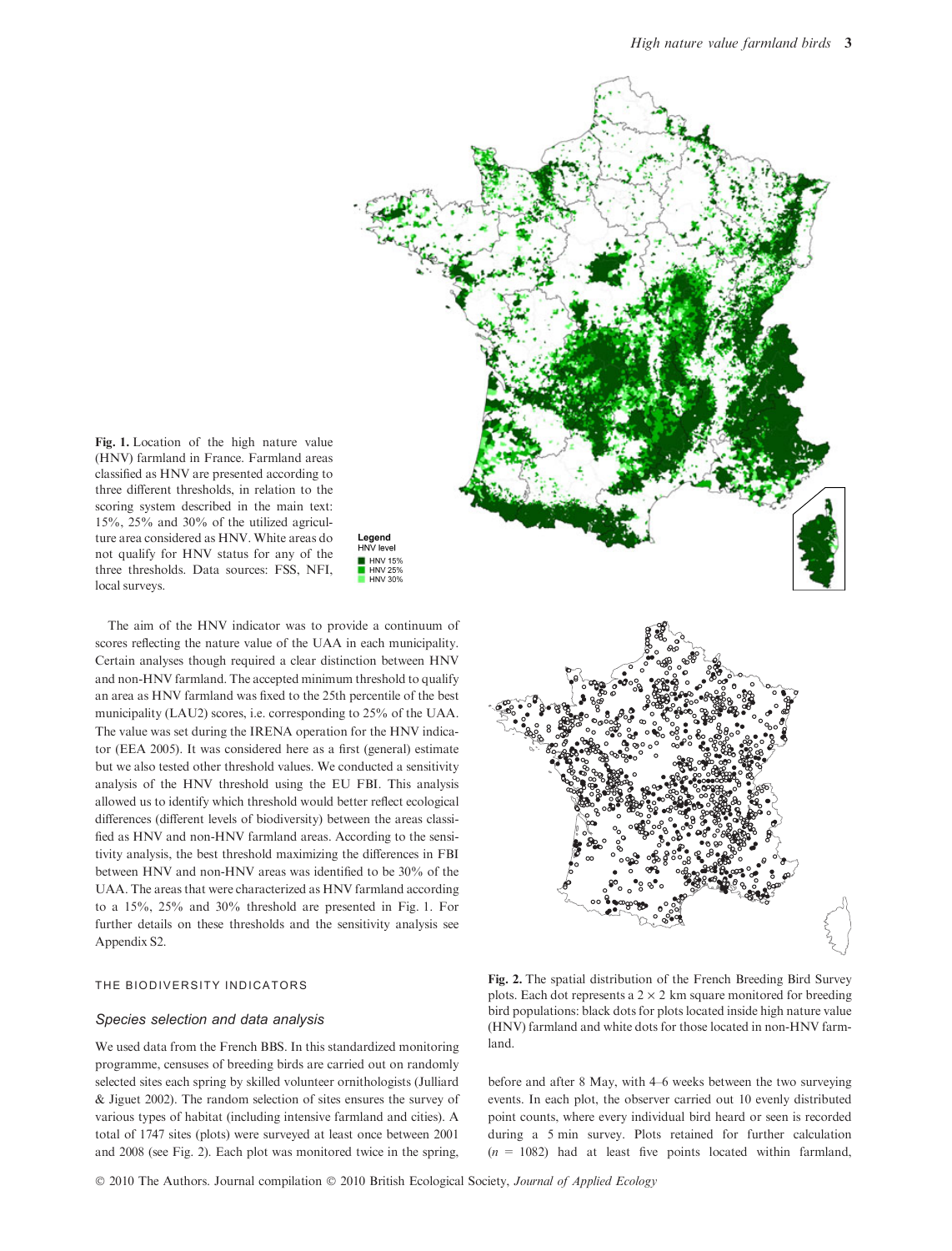



The aim of the HNV indicator was to provide a continuum of scores reflecting the nature value of the UAA in each municipality. Certain analyses though required a clear distinction between HNV and non-HNV farmland. The accepted minimum threshold to qualify an area as HNV farmland was fixed to the 25th percentile of the best municipality (LAU2) scores, i.e. corresponding to 25% of the UAA. The value was set during the IRENA operation for the HNV indicator (EEA 2005). It was considered here as a first (general) estimate but we also tested other threshold values. We conducted a sensitivity analysis of the HNV threshold using the EU FBI. This analysis allowed us to identify which threshold would better reflect ecological differences (different levels of biodiversity) between the areas classified as HNV and non-HNV farmland areas. According to the sensitivity analysis, the best threshold maximizing the differences in FBI between HNV and non-HNV areas was identified to be 30% of the UAA. The areas that were characterized as HNV farmland according to a 15%, 25% and 30% threshold are presented in Fig. 1. For further details on these thresholds and the sensitivity analysis see Appendix S2.

## THE BIODIVERSITY INDICATORS

## Species selection and data analysis

We used data from the French BBS. In this standardized monitoring programme, censuses of breeding birds are carried out on randomly selected sites each spring by skilled volunteer ornithologists (Julliard & Jiguet 2002). The random selection of sites ensures the survey of various types of habitat (including intensive farmland and cities). A total of 1747 sites (plots) were surveyed at least once between 2001 and 2008 (see Fig. 2). Each plot was monitored twice in the spring,



Fig. 2. The spatial distribution of the French Breeding Bird Survey plots. Each dot represents a  $2 \times 2$  km square monitored for breeding bird populations: black dots for plots located inside high nature value (HNV) farmland and white dots for those located in non-HNV farmland.

before and after 8 May, with 4–6 weeks between the two surveying events. In each plot, the observer carried out 10 evenly distributed point counts, where every individual bird heard or seen is recorded during a 5 min survey. Plots retained for further calculation  $(n = 1082)$  had at least five points located within farmland,

© 2010 The Authors. Journal compilation © 2010 British Ecological Society, Journal of Applied Ecology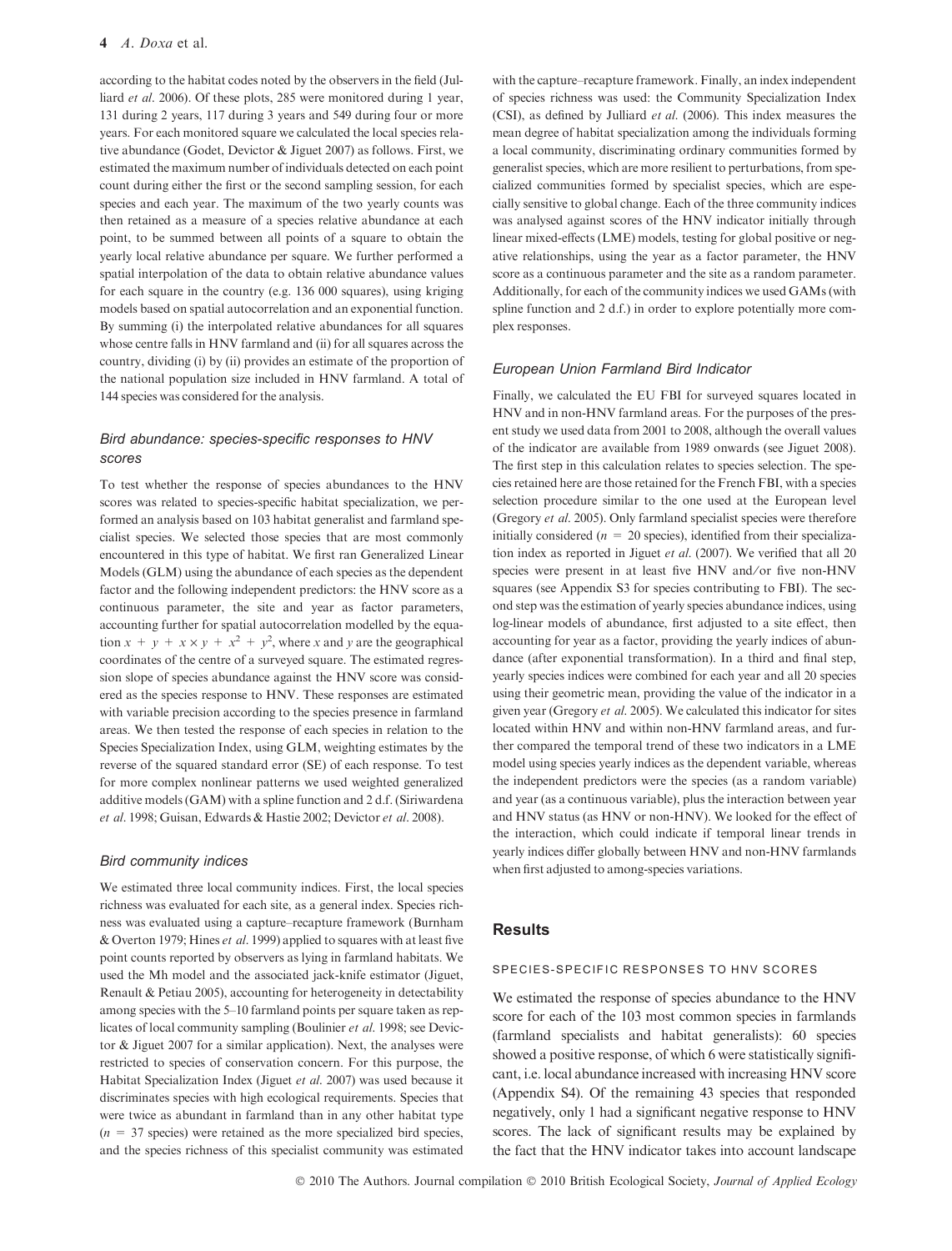according to the habitat codes noted by the observers in the field (Julliard et al. 2006). Of these plots, 285 were monitored during 1 year, 131 during 2 years, 117 during 3 years and 549 during four or more years. For each monitored square we calculated the local species relative abundance (Godet, Devictor & Jiguet 2007) as follows. First, we estimated the maximum number of individuals detected on each point count during either the first or the second sampling session, for each species and each year. The maximum of the two yearly counts was then retained as a measure of a species relative abundance at each point, to be summed between all points of a square to obtain the yearly local relative abundance per square. We further performed a spatial interpolation of the data to obtain relative abundance values for each square in the country (e.g. 136 000 squares), using kriging models based on spatial autocorrelation and an exponential function. By summing (i) the interpolated relative abundances for all squares whose centre falls in HNV farmland and (ii) for all squares across the country, dividing (i) by (ii) provides an estimate of the proportion of the national population size included in HNV farmland. A total of 144 species was considered for the analysis.

# Bird abundance: species-specific responses to HNV scores

To test whether the response of species abundances to the HNV scores was related to species-specific habitat specialization, we performed an analysis based on 103 habitat generalist and farmland specialist species. We selected those species that are most commonly encountered in this type of habitat. We first ran Generalized Linear Models (GLM) using the abundance of each species as the dependent factor and the following independent predictors: the HNV score as a continuous parameter, the site and year as factor parameters, accounting further for spatial autocorrelation modelled by the equation  $x + y + x \times y + x^2 + y^2$ , where x and y are the geographical coordinates of the centre of a surveyed square. The estimated regression slope of species abundance against the HNV score was considered as the species response to HNV. These responses are estimated with variable precision according to the species presence in farmland areas. We then tested the response of each species in relation to the Species Specialization Index, using GLM, weighting estimates by the reverse of the squared standard error (SE) of each response. To test for more complex nonlinear patterns we used weighted generalized additive models (GAM) with a spline function and 2 d.f. (Siriwardena et al. 1998; Guisan, Edwards & Hastie 2002; Devictor et al. 2008).

## Bird community indices

We estimated three local community indices. First, the local species richness was evaluated for each site, as a general index. Species richness was evaluated using a capture–recapture framework (Burnham & Overton 1979; Hines et al. 1999) applied to squares with at least five point counts reported by observers as lying in farmland habitats. We used the Mh model and the associated jack-knife estimator (Jiguet, Renault & Petiau 2005), accounting for heterogeneity in detectability among species with the 5–10 farmland points per square taken as replicates of local community sampling (Boulinier et al. 1998; see Devictor & Jiguet 2007 for a similar application). Next, the analyses were restricted to species of conservation concern. For this purpose, the Habitat Specialization Index (Jiguet et al. 2007) was used because it discriminates species with high ecological requirements. Species that were twice as abundant in farmland than in any other habitat type  $(n = 37$  species) were retained as the more specialized bird species, and the species richness of this specialist community was estimated with the capture–recapture framework. Finally, an index independent of species richness was used: the Community Specialization Index (CSI), as defined by Julliard et al. (2006). This index measures the mean degree of habitat specialization among the individuals forming a local community, discriminating ordinary communities formed by generalist species, which are more resilient to perturbations, from specialized communities formed by specialist species, which are especially sensitive to global change. Each of the three community indices was analysed against scores of the HNV indicator initially through linear mixed-effects (LME) models, testing for global positive or negative relationships, using the year as a factor parameter, the HNV score as a continuous parameter and the site as a random parameter. Additionally, for each of the community indices we used GAMs (with spline function and 2 d.f.) in order to explore potentially more complex responses.

## European Union Farmland Bird Indicator

Finally, we calculated the EU FBI for surveyed squares located in HNV and in non-HNV farmland areas. For the purposes of the present study we used data from 2001 to 2008, although the overall values of the indicator are available from 1989 onwards (see Jiguet 2008). The first step in this calculation relates to species selection. The species retained here are those retained for the French FBI, with a species selection procedure similar to the one used at the European level (Gregory et al. 2005). Only farmland specialist species were therefore initially considered ( $n = 20$  species), identified from their specialization index as reported in Jiguet et al. (2007). We verified that all 20 species were present in at least five HNV and/or five non-HNV squares (see Appendix S3 for species contributing to FBI). The second step was the estimation of yearly species abundance indices, using log-linear models of abundance, first adjusted to a site effect, then accounting for year as a factor, providing the yearly indices of abundance (after exponential transformation). In a third and final step, yearly species indices were combined for each year and all 20 species using their geometric mean, providing the value of the indicator in a given year (Gregory et al. 2005). We calculated this indicator for sites located within HNV and within non-HNV farmland areas, and further compared the temporal trend of these two indicators in a LME model using species yearly indices as the dependent variable, whereas the independent predictors were the species (as a random variable) and year (as a continuous variable), plus the interaction between year and HNV status (as HNV or non-HNV). We looked for the effect of the interaction, which could indicate if temporal linear trends in yearly indices differ globally between HNV and non-HNV farmlands when first adjusted to among-species variations.

# **Results**

# SPECIES-SPECIFIC RESPONSES TO HNV SCORES

We estimated the response of species abundance to the HNV score for each of the 103 most common species in farmlands (farmland specialists and habitat generalists): 60 species showed a positive response, of which 6 were statistically significant, i.e. local abundance increased with increasing HNV score (Appendix S4). Of the remaining 43 species that responded negatively, only 1 had a significant negative response to HNV scores. The lack of significant results may be explained by the fact that the HNV indicator takes into account landscape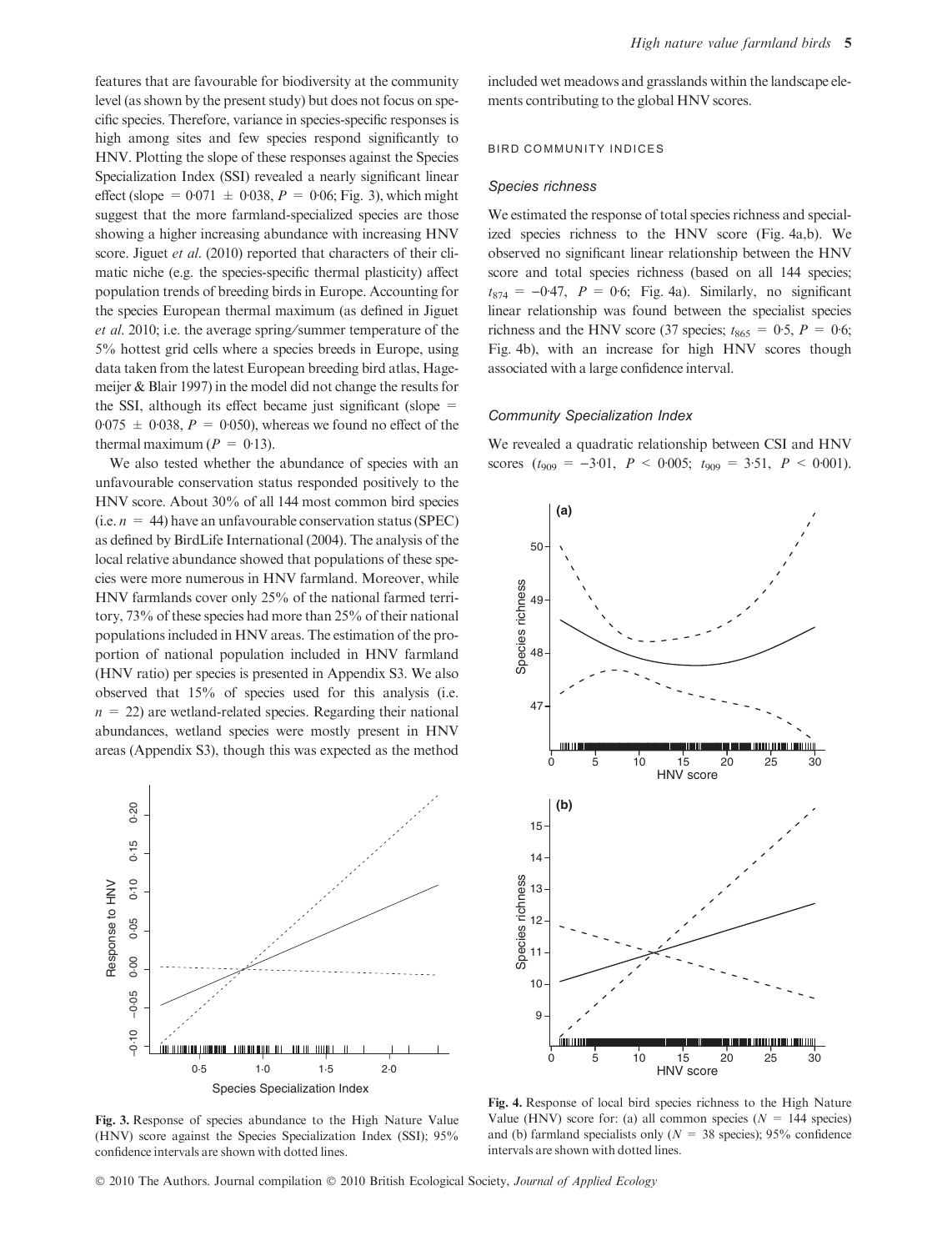features that are favourable for biodiversity at the community level (as shown by the present study) but does not focus on specific species. Therefore, variance in species-specific responses is high among sites and few species respond significantly to HNV. Plotting the slope of these responses against the Species Specialization Index (SSI) revealed a nearly significant linear effect (slope =  $0.071 \pm 0.038$ ,  $P = 0.06$ ; Fig. 3), which might suggest that the more farmland-specialized species are those showing a higher increasing abundance with increasing HNV score. Jiguet et al. (2010) reported that characters of their climatic niche (e.g. the species-specific thermal plasticity) affect population trends of breeding birds in Europe. Accounting for the species European thermal maximum (as defined in Jiguet et al. 2010; i.e. the average spring/summer temperature of the 5% hottest grid cells where a species breeds in Europe, using data taken from the latest European breeding bird atlas, Hagemeijer & Blair 1997) in the model did not change the results for the SSI, although its effect became just significant (slope  $=$  $0.075 \pm 0.038$ ,  $P = 0.050$ ), whereas we found no effect of the thermal maximum ( $P = 0.13$ ).

We also tested whether the abundance of species with an unfavourable conservation status responded positively to the HNV score. About 30% of all 144 most common bird species (i.e.  $n = 44$ ) have an unfavourable conservation status (SPEC) as defined by BirdLife International (2004). The analysis of the local relative abundance showed that populations of these species were more numerous in HNV farmland. Moreover, while HNV farmlands cover only 25% of the national farmed territory, 73% of these species had more than 25% of their national populations included in HNV areas. The estimation of the proportion of national population included in HNV farmland (HNV ratio) per species is presented in Appendix S3. We also observed that 15% of species used for this analysis (i.e.  $n = 22$ ) are wetland-related species. Regarding their national abundances, wetland species were mostly present in HNV areas (Appendix S3), though this was expected as the method



Fig. 3. Response of species abundance to the High Nature Value (HNV) score against the Species Specialization Index (SSI); 95% confidence intervals are shown with dotted lines.

© 2010 The Authors. Journal compilation © 2010 British Ecological Society, Journal of Applied Ecology

included wet meadows and grasslands within the landscape elements contributing to the global HNV scores.

#### BIRD COMMUNITY INDICES

### Species richness

We estimated the response of total species richness and specialized species richness to the HNV score (Fig. 4a,b). We observed no significant linear relationship between the HNV score and total species richness (based on all 144 species;  $t_{874} = -0.47$ ,  $P = 0.6$ ; Fig. 4a). Similarly, no significant linear relationship was found between the specialist species richness and the HNV score (37 species;  $t_{865} = 0.5$ ,  $P = 0.6$ ; Fig. 4b), with an increase for high HNV scores though associated with a large confidence interval.

### Community Specialization Index

We revealed a quadratic relationship between CSI and HNV scores  $(t_{909} = -3.01, P < 0.005; t_{909} = 3.51, P < 0.001).$ 



Fig. 4. Response of local bird species richness to the High Nature Value (HNV) score for: (a) all common species ( $N = 144$  species) and (b) farmland specialists only ( $N = 38$  species); 95% confidence intervals are shown with dotted lines.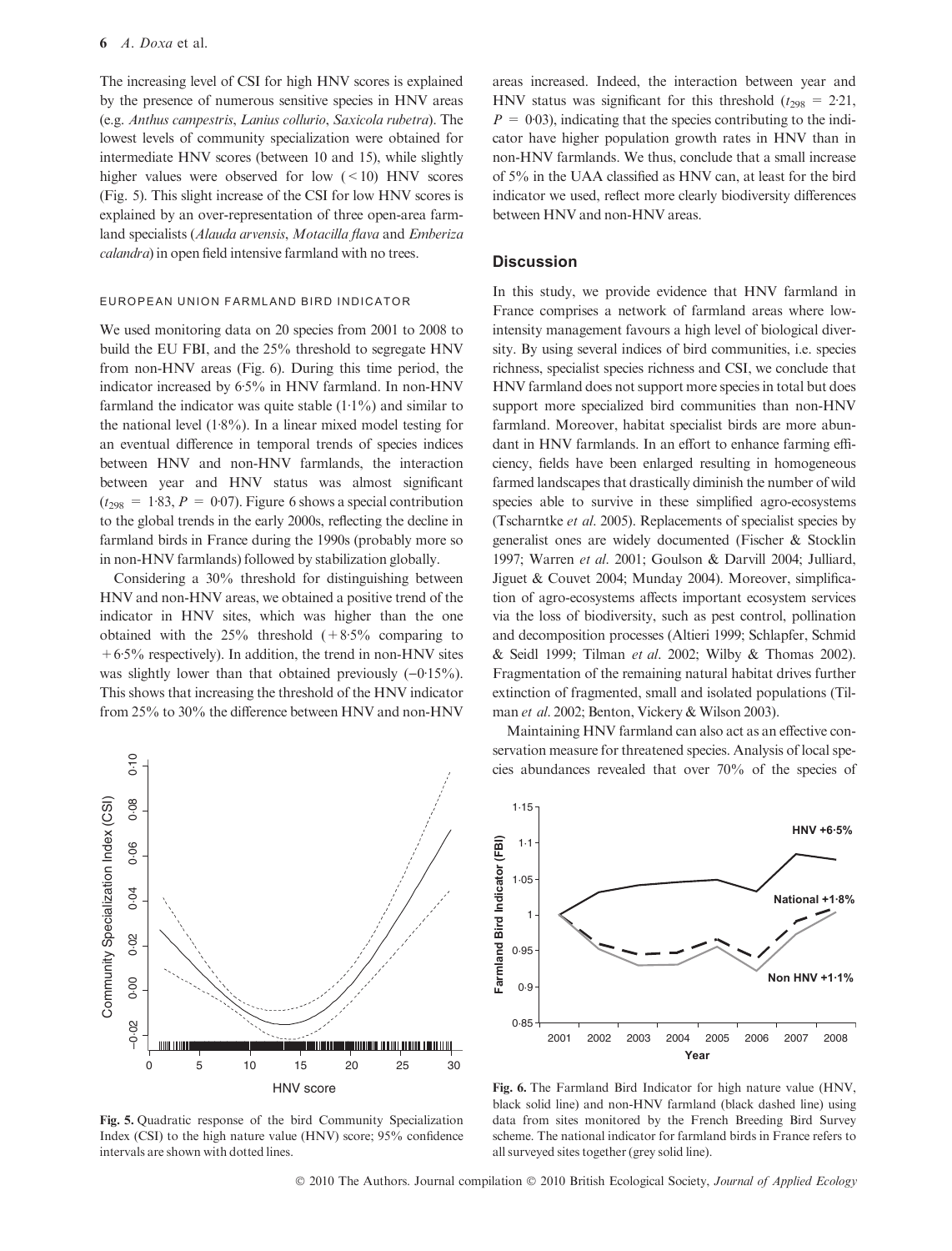The increasing level of CSI for high HNV scores is explained by the presence of numerous sensitive species in HNV areas (e.g. Anthus campestris, Lanius collurio, Saxicola rubetra). The lowest levels of community specialization were obtained for intermediate HNV scores (between 10 and 15), while slightly higher values were observed for low  $(<10)$  HNV scores (Fig. 5). This slight increase of the CSI for low HNV scores is explained by an over-representation of three open-area farmland specialists (Alauda arvensis, Motacilla flava and Emberiza calandra) in open field intensive farmland with no trees.

## EUROPEAN UNION FARMLAND BIRD INDICATOR

We used monitoring data on 20 species from 2001 to 2008 to build the EU FBI, and the 25% threshold to segregate HNV from non-HNV areas (Fig. 6). During this time period, the indicator increased by  $6.5\%$  in HNV farmland. In non-HNV farmland the indicator was quite stable  $(1.1\%)$  and similar to the national level  $(1.8\%)$ . In a linear mixed model testing for an eventual difference in temporal trends of species indices between HNV and non-HNV farmlands, the interaction between year and HNV status was almost significant  $(t_{298} = 1.83, P = 0.07)$ . Figure 6 shows a special contribution to the global trends in the early 2000s, reflecting the decline in farmland birds in France during the 1990s (probably more so in non-HNV farmlands) followed by stabilization globally.

Considering a 30% threshold for distinguishing between HNV and non-HNV areas, we obtained a positive trend of the indicator in HNV sites, which was higher than the one obtained with the  $25\%$  threshold  $(+8.5\%$  comparing to  $+6.5\%$  respectively). In addition, the trend in non-HNV sites was slightly lower than that obtained previously  $(-0.15\%)$ . This shows that increasing the threshold of the HNV indicator from 25% to 30% the difference between HNV and non-HNV



Fig. 5. Quadratic response of the bird Community Specialization Index (CSI) to the high nature value (HNV) score; 95% confidence intervals are shown with dotted lines.

areas increased. Indeed, the interaction between year and HNV status was significant for this threshold ( $t_{298} = 2.21$ ,  $P = 0.03$ ), indicating that the species contributing to the indicator have higher population growth rates in HNV than in non-HNV farmlands. We thus, conclude that a small increase of 5% in the UAA classified as HNV can, at least for the bird indicator we used, reflect more clearly biodiversity differences between HNV and non-HNV areas.

## **Discussion**

In this study, we provide evidence that HNV farmland in France comprises a network of farmland areas where lowintensity management favours a high level of biological diversity. By using several indices of bird communities, i.e. species richness, specialist species richness and CSI, we conclude that HNV farmland does not support more species in total but does support more specialized bird communities than non-HNV farmland. Moreover, habitat specialist birds are more abundant in HNV farmlands. In an effort to enhance farming efficiency, fields have been enlarged resulting in homogeneous farmed landscapes that drastically diminish the number of wild species able to survive in these simplified agro-ecosystems (Tscharntke et al. 2005). Replacements of specialist species by generalist ones are widely documented (Fischer & Stocklin 1997; Warren et al. 2001; Goulson & Darvill 2004; Julliard, Jiguet & Couvet 2004; Munday 2004). Moreover, simplification of agro-ecosystems affects important ecosystem services via the loss of biodiversity, such as pest control, pollination and decomposition processes (Altieri 1999; Schlapfer, Schmid & Seidl 1999; Tilman et al. 2002; Wilby & Thomas 2002). Fragmentation of the remaining natural habitat drives further extinction of fragmented, small and isolated populations (Tilman et al. 2002; Benton, Vickery & Wilson 2003).

Maintaining HNV farmland can also act as an effective conservation measure for threatened species. Analysis of local species abundances revealed that over 70% of the species of



Fig. 6. The Farmland Bird Indicator for high nature value (HNV, black solid line) and non-HNV farmland (black dashed line) using data from sites monitored by the French Breeding Bird Survey scheme. The national indicator for farmland birds in France refers to all surveyed sites together (grey solid line).

© 2010 The Authors. Journal compilation © 2010 British Ecological Society, Journal of Applied Ecology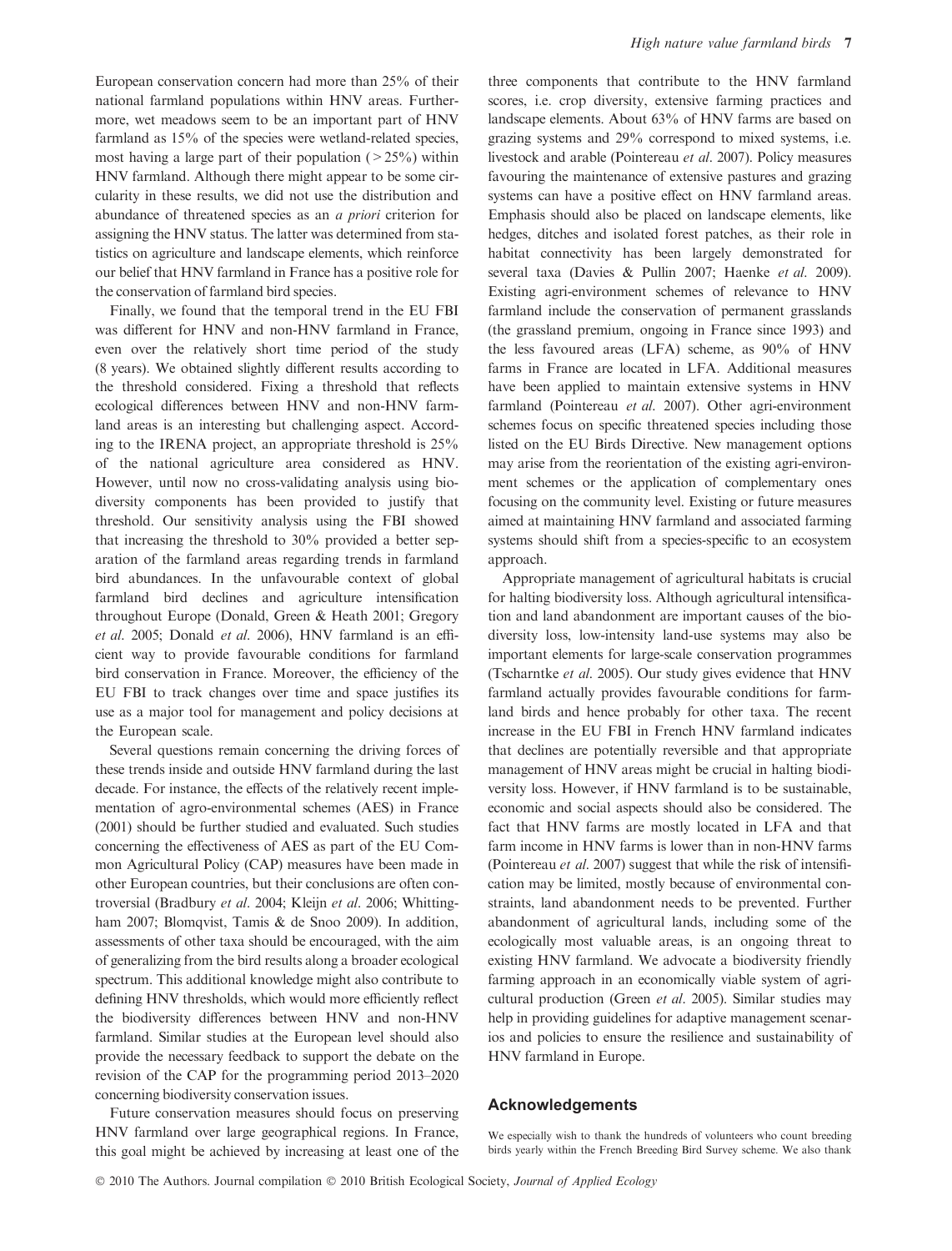European conservation concern had more than 25% of their national farmland populations within HNV areas. Furthermore, wet meadows seem to be an important part of HNV farmland as 15% of the species were wetland-related species, most having a large part of their population ( $>$ 25%) within HNV farmland. Although there might appear to be some circularity in these results, we did not use the distribution and abundance of threatened species as an a priori criterion for assigning the HNV status. The latter was determined from statistics on agriculture and landscape elements, which reinforce our belief that HNV farmland in France has a positive role for the conservation of farmland bird species.

Finally, we found that the temporal trend in the EU FBI was different for HNV and non-HNV farmland in France, even over the relatively short time period of the study (8 years). We obtained slightly different results according to the threshold considered. Fixing a threshold that reflects ecological differences between HNV and non-HNV farmland areas is an interesting but challenging aspect. According to the IRENA project, an appropriate threshold is 25% of the national agriculture area considered as HNV. However, until now no cross-validating analysis using biodiversity components has been provided to justify that threshold. Our sensitivity analysis using the FBI showed that increasing the threshold to 30% provided a better separation of the farmland areas regarding trends in farmland bird abundances. In the unfavourable context of global farmland bird declines and agriculture intensification throughout Europe (Donald, Green & Heath 2001; Gregory et al. 2005; Donald et al. 2006), HNV farmland is an efficient way to provide favourable conditions for farmland bird conservation in France. Moreover, the efficiency of the EU FBI to track changes over time and space justifies its use as a major tool for management and policy decisions at the European scale.

Several questions remain concerning the driving forces of these trends inside and outside HNV farmland during the last decade. For instance, the effects of the relatively recent implementation of agro-environmental schemes (AES) in France (2001) should be further studied and evaluated. Such studies concerning the effectiveness of AES as part of the EU Common Agricultural Policy (CAP) measures have been made in other European countries, but their conclusions are often controversial (Bradbury et al. 2004; Kleijn et al. 2006; Whittingham 2007; Blomqvist, Tamis & de Snoo 2009). In addition, assessments of other taxa should be encouraged, with the aim of generalizing from the bird results along a broader ecological spectrum. This additional knowledge might also contribute to defining HNV thresholds, which would more efficiently reflect the biodiversity differences between HNV and non-HNV farmland. Similar studies at the European level should also provide the necessary feedback to support the debate on the revision of the CAP for the programming period 2013–2020 concerning biodiversity conservation issues.

Future conservation measures should focus on preserving HNV farmland over large geographical regions. In France, this goal might be achieved by increasing at least one of the three components that contribute to the HNV farmland scores, i.e. crop diversity, extensive farming practices and landscape elements. About 63% of HNV farms are based on grazing systems and 29% correspond to mixed systems, i.e. livestock and arable (Pointereau et al. 2007). Policy measures favouring the maintenance of extensive pastures and grazing systems can have a positive effect on HNV farmland areas. Emphasis should also be placed on landscape elements, like hedges, ditches and isolated forest patches, as their role in habitat connectivity has been largely demonstrated for several taxa (Davies & Pullin 2007; Haenke et al. 2009). Existing agri-environment schemes of relevance to HNV farmland include the conservation of permanent grasslands (the grassland premium, ongoing in France since 1993) and the less favoured areas (LFA) scheme, as 90% of HNV farms in France are located in LFA. Additional measures have been applied to maintain extensive systems in HNV farmland (Pointereau et al. 2007). Other agri-environment schemes focus on specific threatened species including those listed on the EU Birds Directive. New management options may arise from the reorientation of the existing agri-environment schemes or the application of complementary ones focusing on the community level. Existing or future measures aimed at maintaining HNV farmland and associated farming systems should shift from a species-specific to an ecosystem approach.

Appropriate management of agricultural habitats is crucial for halting biodiversity loss. Although agricultural intensification and land abandonment are important causes of the biodiversity loss, low-intensity land-use systems may also be important elements for large-scale conservation programmes (Tscharntke et al. 2005). Our study gives evidence that HNV farmland actually provides favourable conditions for farmland birds and hence probably for other taxa. The recent increase in the EU FBI in French HNV farmland indicates that declines are potentially reversible and that appropriate management of HNV areas might be crucial in halting biodiversity loss. However, if HNV farmland is to be sustainable, economic and social aspects should also be considered. The fact that HNV farms are mostly located in LFA and that farm income in HNV farms is lower than in non-HNV farms (Pointereau et al. 2007) suggest that while the risk of intensification may be limited, mostly because of environmental constraints, land abandonment needs to be prevented. Further abandonment of agricultural lands, including some of the ecologically most valuable areas, is an ongoing threat to existing HNV farmland. We advocate a biodiversity friendly farming approach in an economically viable system of agricultural production (Green et al. 2005). Similar studies may help in providing guidelines for adaptive management scenarios and policies to ensure the resilience and sustainability of HNV farmland in Europe.

## Acknowledgements

We especially wish to thank the hundreds of volunteers who count breeding birds yearly within the French Breeding Bird Survey scheme. We also thank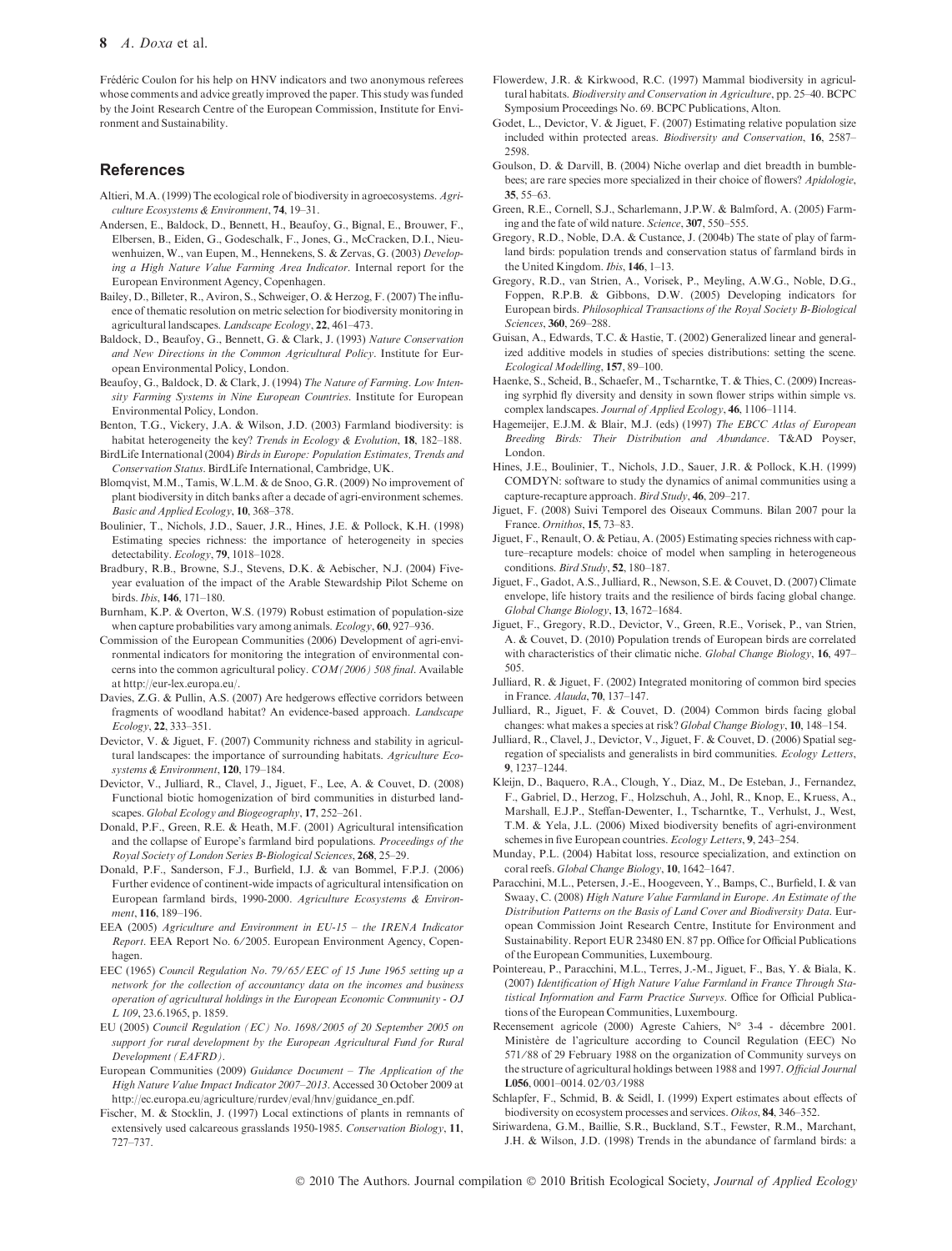Frédéric Coulon for his help on HNV indicators and two anonymous referees whose comments and advice greatly improved the paper. This study was funded by the Joint Research Centre of the European Commission, Institute for Environment and Sustainability.

## References

- Altieri, M.A. (1999) The ecological role of biodiversity in agroecosystems. Agriculture Ecosystems & Environment, 74, 19–31.
- Andersen, E., Baldock, D., Bennett, H., Beaufoy, G., Bignal, E., Brouwer, F., Elbersen, B., Eiden, G., Godeschalk, F., Jones, G., McCracken, D.I., Nieuwenhuizen, W., van Eupen, M., Hennekens, S. & Zervas, G. (2003) Developing a High Nature Value Farming Area Indicator. Internal report for the European Environment Agency, Copenhagen.
- Bailey, D., Billeter, R., Aviron, S., Schweiger, O. & Herzog, F. (2007) The influence of thematic resolution on metric selection for biodiversity monitoring in agricultural landscapes. Landscape Ecology, 22, 461–473.
- Baldock, D., Beaufoy, G., Bennett, G. & Clark, J. (1993) Nature Conservation and New Directions in the Common Agricultural Policy. Institute for European Environmental Policy, London.
- Beaufoy, G., Baldock, D. & Clark, J. (1994) The Nature of Farming. Low Intensity Farming Systems in Nine European Countries. Institute for European Environmental Policy, London.
- Benton, T.G., Vickery, J.A. & Wilson, J.D. (2003) Farmland biodiversity: is habitat heterogeneity the key? Trends in Ecology & Evolution, 18, 182–188.
- BirdLife International (2004) Birds in Europe: Population Estimates, Trends and Conservation Status. BirdLife International, Cambridge, UK.
- Blomqvist, M.M., Tamis, W.L.M. & de Snoo, G.R. (2009) No improvement of plant biodiversity in ditch banks after a decade of agri-environment schemes. Basic and Applied Ecology, 10, 368–378.
- Boulinier, T., Nichols, J.D., Sauer, J.R., Hines, J.E. & Pollock, K.H. (1998) Estimating species richness: the importance of heterogeneity in species detectability. Ecology, 79, 1018–1028.
- Bradbury, R.B., Browne, S.J., Stevens, D.K. & Aebischer, N.J. (2004) Fiveyear evaluation of the impact of the Arable Stewardship Pilot Scheme on birds.Ibis, 146, 171–180.
- Burnham, K.P. & Overton, W.S. (1979) Robust estimation of population-size when capture probabilities vary among animals. *Ecology*, 60, 927–936.
- Commission of the European Communities (2006) Development of agri-environmental indicators for monitoring the integration of environmental concerns into the common agricultural policy. COM(2006) 508 final. Available at http://eur-lex.europa.eu/.
- Davies, Z.G. & Pullin, A.S. (2007) Are hedgerows effective corridors between fragments of woodland habitat? An evidence-based approach. Landscape Ecology, 22, 333–351.
- Devictor, V. & Jiguet, F. (2007) Community richness and stability in agricultural landscapes: the importance of surrounding habitats. Agriculture Ecosystems & Environment, 120, 179–184.
- Devictor, V., Julliard, R., Clavel, J., Jiguet, F., Lee, A. & Couvet, D. (2008) Functional biotic homogenization of bird communities in disturbed landscapes. Global Ecology and Biogeography, 17, 252–261.
- Donald, P.F., Green, R.E. & Heath, M.F. (2001) Agricultural intensification and the collapse of Europe's farmland bird populations. Proceedings of the Royal Society of London Series B-Biological Sciences, 268, 25–29.
- Donald, P.F., Sanderson, F.J., Burfield, I.J. & van Bommel, F.P.J. (2006) Further evidence of continent-wide impacts of agricultural intensification on European farmland birds, 1990-2000. Agriculture Ecosystems & Environment, 116, 189–196.
- EEA (2005) Agriculture and Environment in EU-15 the IRENA Indicator Report. EEA Report No. 6/2005. European Environment Agency, Copenhagen.
- EEC (1965) Council Regulation No. 79/65/EEC of 15 June 1965 setting up a network for the collection of accountancy data on the incomes and business operation of agricultural holdings in the European Economic Community - OJ L 109, 23.6.1965, p. 1859.
- EU (2005) Council Regulation (EC) No. 1698/2005 of 20 September 2005 on support for rural development by the European Agricultural Fund for Rural Development (EAFRD).
- European Communities (2009) Guidance Document The Application of the High Nature Value Impact Indicator 2007–2013. Accessed 30 October 2009 at http://ec.europa.eu/agriculture/rurdev/eval/hnv/guidance\_en.pdf.
- Fischer, M. & Stocklin, J. (1997) Local extinctions of plants in remnants of extensively used calcareous grasslands 1950-1985. Conservation Biology, 11, 727–737.
- Flowerdew, J.R. & Kirkwood, R.C. (1997) Mammal biodiversity in agricultural habitats. Biodiversity and Conservation in Agriculture, pp. 25–40. BCPC Symposium Proceedings No. 69. BCPC Publications, Alton.
- Godet, L., Devictor, V. & Jiguet, F. (2007) Estimating relative population size included within protected areas. Biodiversity and Conservation, 16, 2587– 2598.
- Goulson, D. & Darvill, B. (2004) Niche overlap and diet breadth in bumblebees; are rare species more specialized in their choice of flowers? Apidologie, 35, 55–63.
- Green, R.E., Cornell, S.J., Scharlemann, J.P.W. & Balmford, A. (2005) Farming and the fate of wild nature. Science, 307, 550–555.
- Gregory, R.D., Noble, D.A. & Custance, J. (2004b) The state of play of farmland birds: population trends and conservation status of farmland birds in the United Kingdom. *Ibis*, 146, 1-13.
- Gregory, R.D., van Strien, A., Vorisek, P., Meyling, A.W.G., Noble, D.G., Foppen, R.P.B. & Gibbons, D.W. (2005) Developing indicators for European birds. Philosophical Transactions of the Royal Society B-Biological Sciences, 360, 269–288.
- Guisan, A., Edwards, T.C. & Hastie, T. (2002) Generalized linear and generalized additive models in studies of species distributions: setting the scene. Ecological Modelling, 157, 89–100.
- Haenke, S., Scheid, B., Schaefer, M., Tscharntke, T. & Thies, C. (2009) Increasing syrphid fly diversity and density in sown flower strips within simple vs. complex landscapes. Journal of Applied Ecology, 46, 1106–1114.
- Hagemeijer, E.J.M. & Blair, M.J. (eds) (1997) The EBCC Atlas of European Breeding Birds: Their Distribution and Abundance. T&AD Poyser, London.
- Hines, J.E., Boulinier, T., Nichols, J.D., Sauer, J.R. & Pollock, K.H. (1999) COMDYN: software to study the dynamics of animal communities using a capture-recapture approach. Bird Study, 46, 209–217.
- Jiguet, F. (2008) Suivi Temporel des Oiseaux Communs. Bilan 2007 pour la France. Ornithos, 15, 73–83.
- Jiguet, F., Renault, O. & Petiau, A. (2005) Estimating species richness with capture–recapture models: choice of model when sampling in heterogeneous conditions. Bird Study, 52, 180–187.
- Jiguet, F., Gadot, A.S., Julliard, R., Newson, S.E. & Couvet, D. (2007) Climate envelope, life history traits and the resilience of birds facing global change. Global Change Biology, 13, 1672–1684.
- Jiguet, F., Gregory, R.D., Devictor, V., Green, R.E., Vorisek, P., van Strien, A. & Couvet, D. (2010) Population trends of European birds are correlated with characteristics of their climatic niche. Global Change Biology, 16, 497– 505.
- Julliard, R. & Jiguet, F. (2002) Integrated monitoring of common bird species in France. Alauda, 70, 137–147.
- Julliard, R., Jiguet, F. & Couvet, D. (2004) Common birds facing global changes: what makes a species at risk? Global Change Biology, 10, 148–154.
- Julliard, R., Clavel, J., Devictor, V., Jiguet, F. & Couvet, D. (2006) Spatial segregation of specialists and generalists in bird communities. Ecology Letters, 9, 1237–1244.
- Kleijn, D., Baquero, R.A., Clough, Y., Diaz, M., De Esteban, J., Fernandez, F., Gabriel, D., Herzog, F., Holzschuh, A., Johl, R., Knop, E., Kruess, A., Marshall, E.J.P., Steffan-Dewenter, I., Tscharntke, T., Verhulst, J., West, T.M. & Yela, J.L. (2006) Mixed biodiversity benefits of agri-environment schemes in five European countries. Ecology Letters, 9, 243–254.
- Munday, P.L. (2004) Habitat loss, resource specialization, and extinction on coral reefs. Global Change Biology, 10, 1642–1647.
- Paracchini, M.L., Petersen, J.-E., Hoogeveen, Y., Bamps, C., Burfield, I. & van Swaay, C. (2008) High Nature Value Farmland in Europe. An Estimate of the Distribution Patterns on the Basis of Land Cover and Biodiversity Data. European Commission Joint Research Centre, Institute for Environment and Sustainability. Report EUR 23480 EN. 87 pp. Office for Official Publications of the European Communities, Luxembourg.
- Pointereau, P., Paracchini, M.L., Terres, J.-M., Jiguet, F., Bas, Y. & Biala, K. (2007) Identification of High Nature Value Farmland in France Through Statistical Information and Farm Practice Surveys. Office for Official Publications of the European Communities, Luxembourg.
- Recensement agricole (2000) Agreste Cahiers, N° 3-4 décembre 2001. Ministère de l'agriculture according to Council Regulation (EEC) No 571/88 of 29 February 1988 on the organization of Community surveys on the structure of agricultural holdings between 1988 and 1997. Official Journal L056, 0001-0014. 02/03/1988
- Schlapfer, F., Schmid, B. & Seidl, I. (1999) Expert estimates about effects of biodiversity on ecosystem processes and services. Oikos, 84, 346–352.
- Siriwardena, G.M., Baillie, S.R., Buckland, S.T., Fewster, R.M., Marchant, J.H. & Wilson, J.D. (1998) Trends in the abundance of farmland birds: a